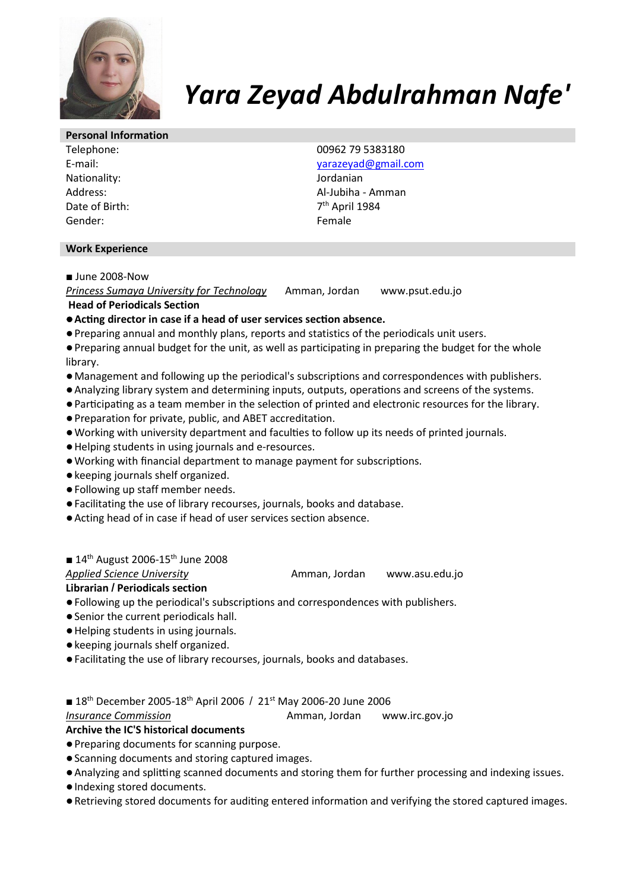

# *Yara Zeyad Abdulrahman Nafe'*

#### **Personal Information**

Nationality: Address: Date of Birth: Gender: Female

Telephone: 00962 79 5383180 E-mail: yarazeyad@gmail.com Jordanian Al-Jubiha - Amman 7<sup>th</sup> April 1984

#### **Work Experience**

# ■ June 2008-Now

*Princess Sumaya University for Technology* Amman, Jordan www.psut.edu.jo  **Head of Periodicals Section** 

● Acting director in case if a head of user services section absence.

- Preparing annual and monthly plans, reports and statistics of the periodicals unit users.
- Preparing annual budget for the unit, as well as participating in preparing the budget for the whole library.
- Management and following up the periodical's subscriptions and correspondences with publishers.
- Analyzing library system and determining inputs, outputs, operations and screens of the systems.
- Participating as a team member in the selection of printed and electronic resources for the library.
- Preparation for private, public, and ABET accreditation.
- . Working with university department and faculties to follow up its needs of printed journals.
- Helping students in using journals and e-resources.
- . Working with financial department to manage payment for subscriptions.
- keeping journals shelf organized.
- Following up staff member needs.
- Facilitating the use of library recourses, journals, books and database.
- Acting head of in case if head of user services section absence.

# $\blacksquare$  14<sup>th</sup> August 2006-15<sup>th</sup> June 2008

Applied Science University **Amman, Jordan** www.asu.edu.jo

**Librarian / Periodicals section** 

- Following up the periodical's subscriptions and correspondences with publishers.
- Senior the current periodicals hall.
- Helping students in using journals.
- keeping journals shelf organized.
- Facilitating the use of library recourses, journals, books and databases.
- 18<sup>th</sup> December 2005-18<sup>th</sup> April 2006 / 21<sup>st</sup> May 2006-20 June 2006

*Insurance Commission* **Amman, Jordan** www.irc.gov.jo

# **Archive the IC'S historical documents**

- Preparing documents for scanning purpose.
- Scanning documents and storing captured images.
- Analyzing and splitting scanned documents and storing them for further processing and indexing issues.
- Indexing stored documents.
- Retrieving stored documents for auditing entered information and verifying the stored captured images.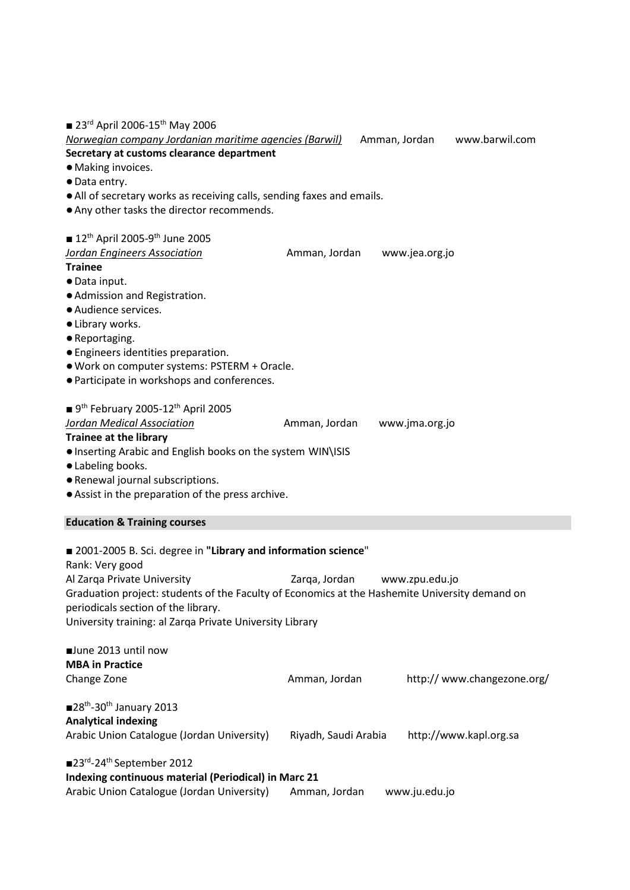| 23 <sup>rd</sup> April 2006-15 <sup>th</sup> May 2006<br>Norwegian company Jordanian maritime agencies (Barwil)<br>Secretary at customs clearance department<br>· Making invoices.<br>· Data entry.                                                                                                                    |                      | Amman, Jordan |                | www.barwil.com              |  |
|------------------------------------------------------------------------------------------------------------------------------------------------------------------------------------------------------------------------------------------------------------------------------------------------------------------------|----------------------|---------------|----------------|-----------------------------|--|
| • All of secretary works as receiving calls, sending faxes and emails.<br>. Any other tasks the director recommends.                                                                                                                                                                                                   |                      |               |                |                             |  |
| <b>12th April 2005-9th June 2005</b><br>Jordan Engineers Association<br><b>Trainee</b><br>· Data input.<br>· Admission and Registration.<br>· Audience services.                                                                                                                                                       | Amman, Jordan        |               | www.jea.org.jo |                             |  |
| • Library works.<br>• Reportaging.<br>• Engineers identities preparation.<br>. Work on computer systems: PSTERM + Oracle.<br>• Participate in workshops and conferences.                                                                                                                                               |                      |               |                |                             |  |
| $\blacksquare$ 9 <sup>th</sup> February 2005-12 <sup>th</sup> April 2005<br>Jordan Medical Association<br><b>Trainee at the library</b><br>. Inserting Arabic and English books on the system WIN\ISIS<br>· Labeling books.<br>• Renewal journal subscriptions.<br>• Assist in the preparation of the press archive.   | Amman, Jordan        |               | www.jma.org.jo |                             |  |
| <b>Education &amp; Training courses</b>                                                                                                                                                                                                                                                                                |                      |               |                |                             |  |
| ■ 2001-2005 B. Sci. degree in "Library and information science"<br>Rank: Very good<br>Al Zarqa Private University<br>Graduation project: students of the Faculty of Economics at the Hashemite University demand on<br>periodicals section of the library.<br>University training: al Zarqa Private University Library | Zarqa, Jordan        |               | www.zpu.edu.jo |                             |  |
| June 2013 until now<br><b>MBA</b> in Practice<br>Change Zone                                                                                                                                                                                                                                                           | Amman, Jordan        |               |                | http:// www.changezone.org/ |  |
| $\blacksquare$ 28 <sup>th</sup> -30 <sup>th</sup> January 2013<br><b>Analytical indexing</b><br>Arabic Union Catalogue (Jordan University)                                                                                                                                                                             | Riyadh, Saudi Arabia |               |                | http://www.kapl.org.sa      |  |
| ■23rd-24 <sup>th</sup> September 2012<br>Indexing continuous material (Periodical) in Marc 21<br>Arabic Union Catalogue (Jordan University)<br>Amman, Jordan<br>www.ju.edu.jo                                                                                                                                          |                      |               |                |                             |  |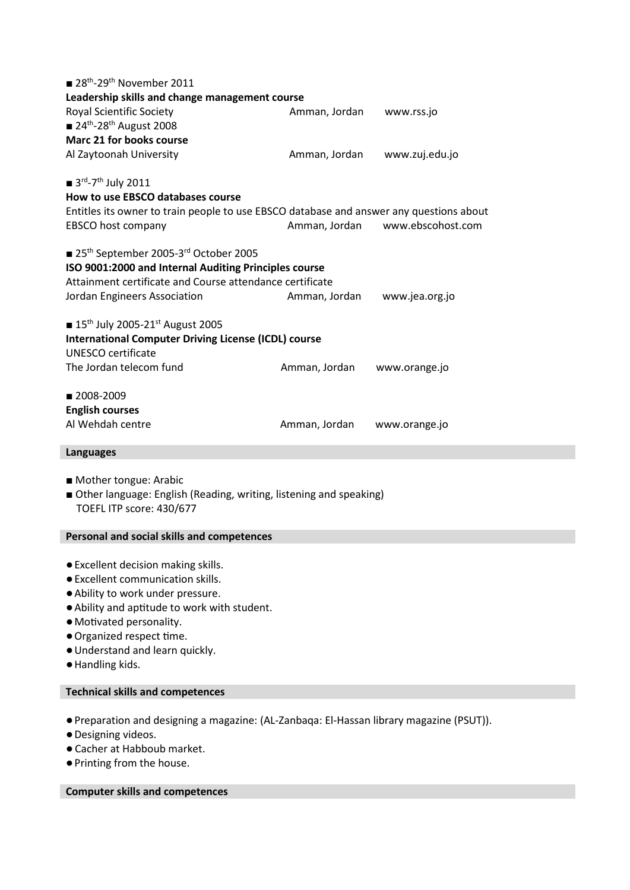| $\blacksquare$ 28 <sup>th</sup> -29 <sup>th</sup> November 2011                                                                  |                             |                   |  |  |  |
|----------------------------------------------------------------------------------------------------------------------------------|-----------------------------|-------------------|--|--|--|
| Leadership skills and change management course                                                                                   |                             |                   |  |  |  |
| <b>Royal Scientific Society</b>                                                                                                  | Amman, Jordan<br>www.rss.jo |                   |  |  |  |
| $\blacksquare$ 24 <sup>th</sup> -28 <sup>th</sup> August 2008                                                                    |                             |                   |  |  |  |
| Marc 21 for books course                                                                                                         |                             |                   |  |  |  |
| Al Zaytoonah University                                                                                                          | Amman, Jordan               | www.zuj.edu.jo    |  |  |  |
|                                                                                                                                  |                             |                   |  |  |  |
| $\blacksquare$ 3 <sup>rd</sup> -7 <sup>th</sup> July 2011                                                                        |                             |                   |  |  |  |
| How to use EBSCO databases course                                                                                                |                             |                   |  |  |  |
| Entitles its owner to train people to use EBSCO database and answer any questions about                                          |                             |                   |  |  |  |
| EBSCO host company                                                                                                               | Amman, Jordan               | www.ebscohost.com |  |  |  |
|                                                                                                                                  |                             |                   |  |  |  |
| ■ 25 <sup>th</sup> September 2005-3 <sup>rd</sup> October 2005                                                                   |                             |                   |  |  |  |
| ISO 9001:2000 and Internal Auditing Principles course                                                                            |                             |                   |  |  |  |
| Attainment certificate and Course attendance certificate                                                                         |                             |                   |  |  |  |
| Jordan Engineers Association                                                                                                     | Amman, Jordan               | www.jea.org.jo    |  |  |  |
| <b>15th July 2005-21st August 2005</b>                                                                                           |                             |                   |  |  |  |
| <b>International Computer Driving License (ICDL) course</b>                                                                      |                             |                   |  |  |  |
| <b>UNESCO certificate</b>                                                                                                        |                             |                   |  |  |  |
| The Jordan telecom fund                                                                                                          | Amman, Jordan               | www.orange.jo     |  |  |  |
|                                                                                                                                  |                             |                   |  |  |  |
| ■ 2008-2009                                                                                                                      |                             |                   |  |  |  |
| <b>English courses</b>                                                                                                           |                             |                   |  |  |  |
| Al Wehdah centre                                                                                                                 | Amman, Jordan               | www.orange.jo     |  |  |  |
|                                                                                                                                  |                             |                   |  |  |  |
| <b>Languages</b>                                                                                                                 |                             |                   |  |  |  |
|                                                                                                                                  |                             |                   |  |  |  |
| Mother tongue: Arabic                                                                                                            |                             |                   |  |  |  |
| Other language: English (Reading, writing, listening and speaking)                                                               |                             |                   |  |  |  |
| TOEFL ITP score: 430/677                                                                                                         |                             |                   |  |  |  |
|                                                                                                                                  |                             |                   |  |  |  |
| Personal and social skills and competences                                                                                       |                             |                   |  |  |  |
| the contract of the contract of the contract of the contract of the contract of the contract of the contract of<br>$\sim$ $\sim$ |                             |                   |  |  |  |

- Excellent decision making skills.
- Excellent communication skills.
- Ability to work under pressure.
- $\bullet$  Ability and aptitude to work with student.
- · Motivated personality.
- Organized respect time.
- Understand and learn quickly.
- Handling kids.

## **Technical skills and competences**

- Preparation and designing a magazine: (AL-Zanbaqa: El-Hassan library magazine (PSUT)).
- Designing videos.
- ●Cacher at Habboub market.
- Printing from the house.

## **Computer skills and competences**